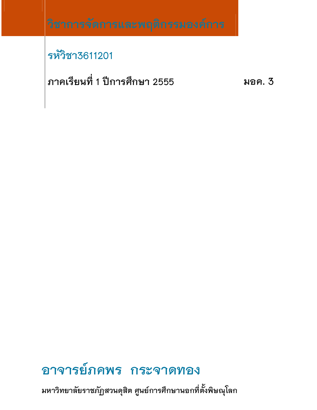# รหัวิชา3611201

ภาคเรียนที่ 1 ปีการศึกษา 2555

มอค. 3

# อาจารย์ภคพร กระจาดทอง

มหาวิทยาลัยราชภัฏสวนดุสิต ศูนย์การศึกษานอกที่ตั้งพิษณุโลก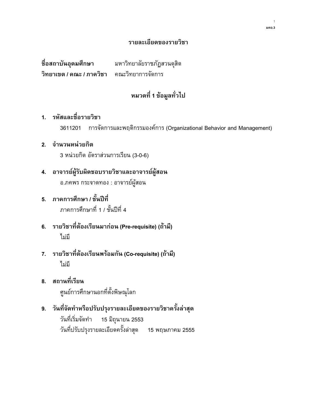#### รายละเอียดของรายวิชา

ชื่อสถาบันอุดมศึกษา มหาวิทยาลัยราชภัฏสวนดุสิต วิทยาเขต / คณะ / ภาควิชา คณะวิทยาการจัดการ

# หมวดที่ 1 ข้อมูลทั่วไป

# 1. รหัสและชื่อรายวิชา

3611201 การจัดการและพฤติกรรมองค์การ (Organizational Behavior and Management)

#### 2. จำนวนหน่วยกิต

3 หน่วยกิต อัตราส่วนการเรียน (3-0-6)

- 4. อาจารย์ผู้รับผิดชอบรายวิชาและอาจารย์ผู้สอน อ.ภคพร กระจาดทอง : อาจารย์ผู้สอน
- 5. ภาคการศึกษา / ชั้นปีที่ ภาคการศึกษาที่ 1 / ชั้นปีที่ 4
- 6. รายวิชาที่ต้องเรียนมาก่อน (Pre-requisite) (ถ้ามี) ไม่มี
- 7. รายวิชาที่ต้องเรียนพร้อมกัน (Co-requisite) (ถ้ามี) ไม่มี
- 8. สถานที่เรียน ศูนย์การศึกษานอกที่ตั้งพิษณุโลก
- 9. วันที่จัดทำหรือปรับปรุงรายละเอียดของรายวิชาครั้งล่าสุด วันที่เริ่มจัดทำ 15 มิถุนายน 2553 วันที่ปรับปรุงรายละเอียดครั้งล่าสุด 15 พฤษภาคม 2555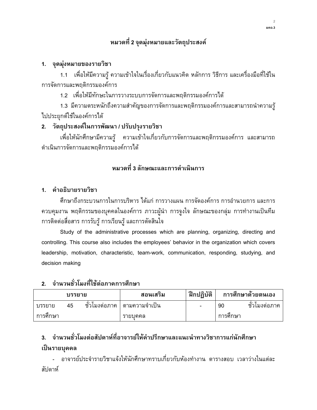# ี หมวดที่ 2 จุดมุ่งหมายและวัตถุประสงค์

### 1. จุดมุ่งหมายของรายวิชา

1.1 เพื่อให้มีความรู้ ความเข้าใจในเรื่องเกี่ยวกับแนวคิด หลักการ วิธีการ และเครื่องมือที่ใช้ใน การจัดการและพฤติกรรมองค์การ

1.2 เพื่อให้มีทักษะในการวางระบบการจัดการและพฤติกรรมองค์การได้

1.3 มีความตระหนักถึงความสำคัญของการจัดการและพฤติกรรมองค์การและสามารถนำความรู้ ไปประยุกต์ใช้ในองค์การได้

# 2. วัตถุประสงค์ในการพัฒนา / ปรับปรุงรายวิชา

้เพื่อให้นักศึกษามีความรู้ ความเข้าใจเกี่ยวกับการจัดการและพฤติกรรมองค์การ และสามารถ ดำเนินการจัดการและพฤติกรรมองค์การได้

# หมวดที่ 3 ลักษณะและการดำเนินการ

#### 1. คำอธิบายรายวิชา

์ศึกษาถึงกระบวนการในการบริหาร ได้แก่ การวางแผน การจัดองค์การ การอำนวยการ และการ ้ควบคุมงาน พฤติกรรมของบุคคลในองค์การ ภาวะผู้นำ การจูงใจ ลักษณะของกลุ่ม การทำงานเป็นที่ม การติดต่อสื่อสาร การรับรู้ การเรียนรู้ และการตัดสินใจ

Study of the administrative processes which are planning, organizing, directing and controlling. This course also includes the employees' behavior in the organization which covers leadership, motivation, characteristic, team-work, communication, responding, studying, and decision making

# ่ 2 จำนวนชั่วโมงที่ใช้ต่อภาคการศึกษา

| บรรยาย   |    |                     | สอนเสริม        | ์ ฝึกปฏิบัติ | การศึกษาด้วยตนเอง |             |
|----------|----|---------------------|-----------------|--------------|-------------------|-------------|
| บรรยาย   | 45 | ັ້<br>่ ชวไมงต่อภาค | ' ตามความจำเป็น | ۰            | 90                | ชวเมงต่อภาค |
| การศึกษา |    |                     | รายบคคล         |              | การศกษา           |             |

# ่ 3. จำนวนชั่วโมงต่อสัปดาห์ที่อาจารย์ให้คำปรึกษาและแนะนำทางวิชาการแก่นักศึกษา เป็นรายบุคคล

- คาจารย์ประจำรายวิชาแจ้งให้นักศึกษาทราบเกี่ยวกับห้องทำงาน ตารางสอบ เวลาว่างในแต่ละ สัปดาห์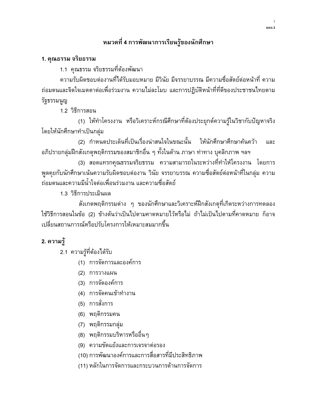# หมวดที่ 4 การพัฒนาการเรียนรู้ของนักศึกษา

#### 1. คุณธรรม จริยธรรม

1.1 คุณธรรม จริยธรรมที่ต้องพัฒนา

้ความรับผิดชอบต่องานที่ได้รับมอบหมาย มีวินัย มีจรรยาบรรณ มีความซื่อสัตย์ต่อหน้าที่ ความ ถ่อมตนและจิตใจเมตตาต่อเพื่อร่วมงาน ความไม่ละโมบ และการปฏิบัติหน้าที่ที่ดีของประชาชนไทยตาม รัฐธรรมนูญ

1.2 วิธีการสอน

(1) ให้ทำโครงงาน หรือวิเคราะห์กรณีศึกษาที่ต้องประยุกต์ความรู้ในวิชากับปัญหาจริง โดยให้นักศึกษาทำเป็นกลุ่ม

(2) กำหนดประเด็นที่เป็นเรื่องน่าสนใจในขณะนั้น ให้นักศึกษาศึกษาค้นคว้า และ ้อภิปรายกลุ่มฝึกสังเกตุพฤติกรรมของสมาชิกอื่น ๆ ทั้งในด้าน ภาษา ท่าทาง บุคลิกภาพ ฯลฯ

(3) สอดแทรกคุณธรรมจริยธรรม ความสามารถในระหว่างที่ทำให้โครงงาน โดยการ ้พูดคุยกับนักศึกษาเน้นความรับผิดชอบต่องาน วินัย จรรยาบรรณ ความซื่อสัตย์ต่อหน้าที่ในกลุ่ม ความ ถ่อมตนและความมีน้ำใจต่อเพื่อนร่วมงาน และความซื่อสัตย์

1.3 วิธีการประเมินผล

้สังเกตพฤติกรรมต่าง ๆ ของนักศึกษาและวิเคราะห์ฝึกสังเกตุที่เกิดระหว่างการทดลอง ใช้วิธีการสอนในข้อ (2) ข้างต้นว่าเป็นไปตามคาดหมายไว้หรือไม่ ถ้าไม่เป็นไปตามที่คาดหมาย ก็อาจ เปลี่ยนสถานการณ์หรือปรับโครงการให้เหมาะสมมากขึ้น

# 2. ความรู้

2.1 ความรู้ที่ต้องได้รับ

- (1) การจัดการและองค์การ
- (2) การวางแผน
- (3) การจัดองค์การ
- (4) การจัดคนเข้าทำงาน
- (5) การสั่งการ
- (6) พฤติกรรมคน
- (7) พฤติกรรมกลุ่ม
- (8) พฤติกรรมบริหารหรืออื่นๆ
- (9) ความขัดแย้งและการเจรจาต่อรอง
- (10) การพัฒนาองค์การและการสื่อสารที่มีประสิทธิภาพ
- (11) หลักในการจัดการและกระบวนการด้านการจัดการ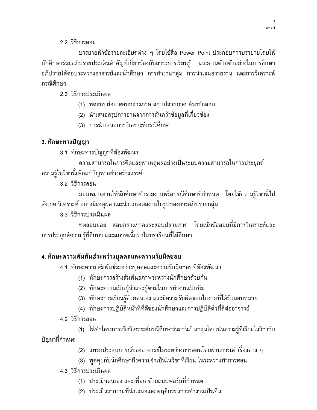#### 22 วิธีการสอน

บรรยายหัวข้อรายละเอียดต่าง ๆ โดยใช้สื่อ Power Point ประกอบการบรรยายโดยให้ นักศึกษาร่วมอภิปรายประเด็นสำคัญที่เกี่ยวข้องกับสาระการเรียนรู้ และตามด้วยตัวอย่างในการศึกษา อภิปรายโต้ตอบระหว่างอาจารย์และนักศึกษา การทำงานกลุ่ม การนำเสนอรายงาน และการวิเคราะห์ กรณีศึกษา

2.3 วิธีการประเมินผล

(1) ทดสอบย่อย สอบกลางภาค สอบปลายภาค ด้วยข้อสอบ

(2) นำเสนอสรุปการอ่านจากการค้นคว้าข้อมูลที่เกี่ยวข้อง

(3) การนำเสนอการวิเคราะห์กรณีศึกษา

# 3. ทักษะทางปัญญา

3.1 ทักษะทางปัญญาที่ต้องพัฒนา

ความสามารถในการคิดและหาเหตุผลอย่างเป็นระบบความสามารถในการประยุกต์ ความรู้ในวิชานี้เพื่อแก้ปัญหาอย่างสร้างสรรค์

3.2 วิธีการสอน

มอบหมายงานให้นักศึกษาทำรายงานหรือกรณีศึกษาที่กำหนด โดยใช้ความรู้วิชานี้ไป สังเกต วิเคราะห์ อย่างมีเหตุผล และนำเสนอผลงานในรูปของการอภิปรายกลุ่ม

3.3 วิธีการประเมินผล

ทดสอบย่อย สอบกลางภาคและสอบปลายภาค โดยเน้นข้อสอบที่มีการวิเคราะห์และ การประยุกต์ความรู้ที่ศึกษา และสภาพเนื้อหาในบทเรียนที่ได้ศึกษา

# 4. ทักษะความสัมพันธ์ระหว่างบุคคลและความรับผิดชอบ

4.1 ทักษะความสัมพันธ์ระหว่างบุคคลและความรับผิดชอบที่ต้องพัฒนา

- (1) ทักษะการสร้างสัมพันธภาพระหว่างนักศึกษาด้วยกัน
- (2) ทักษะความเป็นผุ้นำและผู้ตามในการทำงานเป็นทีม
- (3) ทักษะการเรียนรู้ด้วยตนเอง และมีความรับผิดชอบในงานที่ได้รับมอบหมาย
- (4) ทักษะการปฏิบัติหน้าที่ที่ดีของนักศึกษาและการปฏิบัติตัวที่ดีต่ออาจารย์
- 4.2 วิธีการสอน

(1) ให้ทำโครงการหรือวิเคราะห์กรณีศึกษาร่วมกันเป็นกลุ่มโดยเน้นความรู้ที่เรียนในวิชากับ ปัญหาที่กำหนด

- (2) แทรกประสบการณ์ของอาจารย์ในระหว่างการสอนโดยผ่านการเล่าเรื่องต่าง ๆ
- (3) พูดคุยกับนักศึกษาถึงความจำเป็นในวิชาที่เรียน ในระหว่างทำการสอน

4.3 วิธีการประเมินผล

- (1) ประเมินตนเอง และเพื่อน ด้วยแบบฟอร์มที่กำหนด
- (2) ประเมินรายงานที่นำเสนอและพฤติกรรมการทำงานเป็นทีม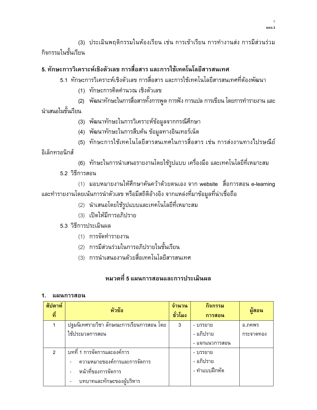(3) ประเมินพฤติกรรมในห้องเรียน เช่น การเข้าเรียน การทำงานส่ง การมีส่วนร่วม กิจกรรมในชั้นเรียน

# 5. ทักษะการวิเคราะห์เชิงตัวเลข การสื่อสาร และการใช้เทคโนโลยีสารสนเทศ

- 5.1 ทักษะการวิเคราะห์เชิงตัวเลข การสื่อสาร และการใช้เทคโนโลยีสารสนเทศที่ต้องพัฒนา
	- (1) ทักษะการคิดคำนวณ เชิงตัวเลข
	- (2) พัฒนาทักษะในการสื่อสารทั้งการพูด การฟัง การแปล การเขียน โดยการทำรายงาน และ
- นำเสนอในชั้นเรียน
	- (3) พัฒนาทักษะในการวิเคราะห์ข้อมูลจากกรณีศึกษา
	- (4) พัฒนาทักษะในการสืบคัน ข้อมูลทางอินเทอร์เน็ต
	- (5) ทักษะการใช้เทคโนโลยีสารสนเทศในการสื่อสาร เช่น การส่งงานทางไปรษณีย์

้อิเล็กทรอนิกส์

- (6) ทักษะในการนำเสนอรายงานโดยใช้รูปแบบ เครื่องมือ และเทคโนโลยีที่เหมาะสม
- 5.2 วิธีการสอน

(1) มอบหมายงานให้ศึกษาคันคว้าด้วยตนเอง จาก website สื่อการสอน e-learning และทำรายงานโดยเน้นการนำตัวเลข หรือมีสถิติอ้างอิง จากแหล่งที่มาข้อมูลที่น่าเชื่อถือ

- (2) นำเสนอโดยใช้รูปแบบและเทคโนโลยีที่เหมาะสม
- (3) เปิดให้มีการอภิปราย
- 5.3 วิธีการประเมินผล
	- (1) การจัดทำรายงาน
	- (2) การมีส่วนร่วมในการอภิปรายในชั้นเรียน
	- (3) การนำเสนองานด้วยสื่อเทคโนโลยีสารสนเทศ

# หมวดที่ 5 แผนการสอนและการประเมินผล

#### 1. แผนการสอน

| สัปดาห์<br>ที่ | หัวข้อ                                    | จำนวน<br>ชั่วโมง | กิจกรรม<br>การสอน | ผ้สอน     |
|----------------|-------------------------------------------|------------------|-------------------|-----------|
|                | ปจุมนิเทศรายวิชา ลักษณะการเรียนการสอน โดย | 3                | - บรรยาย          | อ.ภคพร    |
|                | ใช้ประมวลการสอน                           |                  | - อภิปราย         | กระจาดทอง |
|                |                                           |                  | - แจกแนวการสอน    |           |
| $\mathcal{P}$  | ิบทที่ 1 การจัดการและองค์การ              |                  | - บรรยาย          |           |
|                | ความหมายของค์การและการจัดการ              |                  | - อภิปราย         |           |
|                | หน้าที่ของการจัดการ                       |                  | - ทำแบบฝึกหัด     |           |
|                | บทบาทและทักษะของผับริหาร                  |                  |                   |           |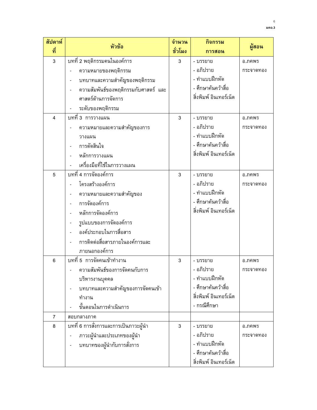| สัปดาห์ | หัวข้อ                                | จำนวน   | กิจกรรม                | ผู้สอน    |
|---------|---------------------------------------|---------|------------------------|-----------|
| ที่     |                                       | ชั่วโมง | การสอน                 |           |
| 3       | ิบทที่ 2 พฤติกรรมคนในองค์การ          | 3       | - บรรยาย               | อ.ภคพร    |
|         | ความหมายของพฤติกรรม                   |         | - อภิปราย              | กระจาดทอง |
|         | บทบาทและความสำคัญของพฤติกรรม          |         | - ทำแบบฝึกหัด          |           |
|         | ความสัมพันธ์ของพฤติกรรมกับศาสตร์ และ  |         | - ศึกษาค้นคว้าสื่อ     |           |
|         | ศาสตร์ด้านการจัดการ                   |         | สิ่งพิมพ์ อินเทอร์เน็ต |           |
|         | ระดับของพฤติกรรม                      |         |                        |           |
| 4       | บทที่ 3  การวางแผน                    | 3       | - บรรยาย               | อ.ภคพร    |
|         | ความหมายและความสำคัญของการ            |         | - อภิปราย              | กระจาดทอง |
|         | วางแผน                                |         | - ทำแบบฝึกหัด          |           |
|         | การตัดสินใจ                           |         | - ศึกษาค้นคว้าสื่อ     |           |
|         | หลักการวางแผน                         |         | สิ่งพิมพ์ อินเทอร์เน็ต |           |
|         | เครื่องมือที่ใช้ในการวางแผน           |         |                        |           |
| 5       | บทที่ 4 การจัดองค์การ                 | 3       | - บรรยาย               | อ.ภคพร    |
|         | โครงสร้างองค์การ                      |         | - อภิปราย              | กระจาดทอง |
|         | ความหมายและความสำคัญของ               |         | - ทำแบบฝึกหัด          |           |
|         | การจัดองค์การ                         |         | - ศึกษาค้นคว้าสื่อ     |           |
|         | หลักการจัดองค์การ                     |         | สิ่งพิมพ์ อินเทอร์เน็ต |           |
|         | รูปแบบของการจัดองค์การ                |         |                        |           |
|         | องค์ประกอบในการสื่อสาร                |         |                        |           |
|         | การติดต่อสื่อสารภายในองค์การและ       |         |                        |           |
|         | ภายนอกองค์การ                         |         |                        |           |
| 6       | <u>ับท</u> ที่ 5 การจัดคนเข้าทำงาน    | 3       | - บรรยาย               | อ.ภคพร    |
|         | ความสัมพันธ์ของการจัดคนกับการ         |         | - อภิปราย              | กระจาดทอง |
|         | บริหารงานบุคคล                        |         | - ทำแบบฝึกหัด          |           |
|         | บทบาทและความสำคัญของการจัดคนเข้า      |         | - ศึกษาค้นคว้าสื่อ     |           |
|         | ทำงาน                                 |         | สิ่งพิมพ์ อินเทอร์เน็ต |           |
|         | ขั้นตอนในการดำเนินการ                 |         | - กรณีศึกษา            |           |
| 7       | สอบกลางภาค                            |         |                        |           |
| 8       | บทที่ 6 การสั่งการและการเป็นภาวะผู้นำ | 3       | - บรรยาย               | อ.ภคพร    |
|         | ภาวะผู้นำและประเภทของผู้นำ            |         | - อภิปราย              | กระจาดทอง |
|         | บทบาทของผู้นำกับการสั่งการ            |         | - ทำแบบฝึกหัด          |           |
|         |                                       |         | - ศึกษาค้นคว้าสื่อ     |           |
|         |                                       |         | สิ่งพิมพ์ อินเทอร์เน็ต |           |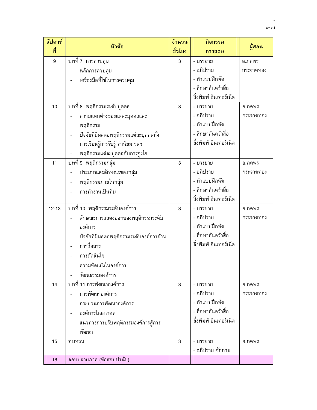| สัปดาห์<br>ที่ | หัวข้อ                                   | จำนวน<br>ชั่วโมง | กิจกรรม<br>การสอน       | ผู้สอน    |
|----------------|------------------------------------------|------------------|-------------------------|-----------|
| 9              | บทที่ 7 การควบคุม                        | 3                | - บรรยาย                | อ.ภคพร    |
|                | หลักการควบคุม                            |                  | - อภิปราย               | กระจาดทอง |
|                | เครื่องมือที่ใช้ในการควบคุม              |                  | - ทำแบบฝึกหัด           |           |
|                |                                          |                  | - ศึกษาค้นคว้าสื่อ      |           |
|                |                                          |                  | สิ่งพิมพ์ อินเทอร์เน็ต  |           |
| 10             | บทที่ 8 พฤติกรรมระดับบุคคล               | 3                | - บรรยาย                | อ.ภคพร    |
|                | ความแตกต่างของแต่ละบุคคลและ              |                  | - อภิปราย               | กระจาดทอง |
|                | พฤติกรรม                                 |                  | - ทำแบบฝึกหัด           |           |
|                | ปัจจัยที่มีผลต่อพฤติกรรมแต่ละบุคคลทั้ง   |                  | - ศึกษาค้นคว้าสื่อ      |           |
|                | การเรียนรู้การรับรู้ ค่านิยม ฯลฯ         |                  | สิ่งพิมพ์ อินเทอร์เน็ต  |           |
|                | พฤติกรรมแต่ละบุคคลกับการจูงใจ            |                  |                         |           |
| 11             | บทที่ 9 พฤติกรรมกลุ่ม                    | 3                | - บรรยาย                | อ.ภคพร    |
|                | ประเภทและลักษณะของกลุ่ม                  |                  | - อภิปราย               | กระจาดทอง |
|                | พฤติกรรมภายในกลุ่ม                       |                  | - ทำแบบฝึกหัด           |           |
|                | การทำงานเป็นทีม                          |                  | - ศึกษาค้นคว้าสื่อ      |           |
|                |                                          |                  | สิ่งพิมพ์ อินเทอร์เน็ต  |           |
| $12 - 13$      | บทที่ 10 พฤติกรรมระดับองค์การ            | 3                | - บรรยาย                | อ.ภคพร    |
|                | ลักษณะการแสดงออกของพฤติกรรมระดับ         |                  | - อภิปราย               | กระจาดทอง |
|                | องค์การ                                  |                  | - ทำแบบฝึกหัด           |           |
|                | ปัจจัยที่มีผลต่อพฤติกรรมระดับองค์การด้าน |                  | - ศึกษาค้นคว้าสื่อ      |           |
|                | การสื่อสาร                               |                  | ์สิ่งพิมพ์ อินเทอร์เน็ต |           |
|                | การตัดสินใจ                              |                  |                         |           |
|                | ความขัดแย้งในองค์การ                     |                  |                         |           |
|                | วัฒนธรรมองค์การ                          |                  |                         |           |
| 14             | บทที่ 11 การพัฒนาองค์การ                 | 3                | - บรรยาย                | อ.ภคพร    |
|                | การพัฒนาองค์การ                          |                  | - อภิปราย               | กระจาดทอง |
|                | กระบวนการพัฒนาองค์การ                    |                  | - ทำแบบฝึกหัด           |           |
|                | องค์การในอนาคต                           |                  | - ศึกษาค้นคว้าสื่อ      |           |
|                | แนวทางการปรับพฤติกรรมองค์การสู้การ       |                  | สิ่งพิมพ์ อินเทอร์เน็ต  |           |
|                | พัฒนา                                    |                  |                         |           |
| 15             | ิทบทวน                                   | 3                | - บรรยาย                | อ.ภคพร    |
|                |                                          |                  | - อภิปราย ซักถาม        |           |
| 16             | สอบปลายภาค (ข้อสอบปรนัย)                 |                  |                         |           |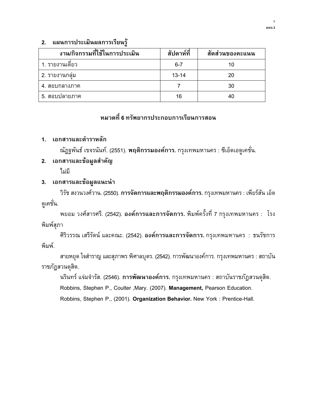#### 2. แผนการประเมินผลการเรียนรู้

| งาน/กิจกรรมที่ใช้ในการประเมิน | สัปดาห์ที่ | สัดส่วนของคะแนน |
|-------------------------------|------------|-----------------|
| 1. รายงานเดียว                | $6 - 7$    | 10              |
| ่ 2. รายงานกล่ม               | $13 - 14$  | 20              |
| ่ 4. สอบกลางภาค               |            | 30              |
| ี 5. สอบปลายภาค               | 16         |                 |

# ์ หมวดที่ 6 ทรัพยากรประกอบการเรียนการสอน

#### 1. เอกสารและตำราหลัก

ณัฏฐพันธ์ เขจรนันท์. (2551). **พฤติกรรมองค์การ.** กรุงเทพมหานคร : ซีเอ็ดเอดูเคชั่น.

#### 2. เอกสารและข้อมูลสำคัญ

ไม่มี

#### 3. เอกสารและข้อมูลแนะนำ

วิรัช สงวนวงศ์วาน. (2550). การจัดการและพฤติกรรมองค์การ. กรุงเทพมหานคร : เพียร์สัน เอ็ด ดูเคชั่น.

พยอม วงศ์สารศรี. (2542). องค์การและการจัดการ. พิมพ์ครั้งที่ 7 กรุงเทพมหานคร : โรง พิมพ์สุภา

ศิริวรรณ เสรีรัตน์ และคณะ. (2542). องค์การและการจัดการ. กรุงเทพมหานคร : ธนรัชการ พิมพ์.

สายหยุด ใจสำราญ และสุภาพร พิศาลบุตร. (2542). การพัฒนาองค์การ. กรุงเทพมหานคร : สถาบัน ราชภัฏสวนดุสิต.

นรินทร์ แจ่มจำรัส. (2546). **การพัฒนาองค์การ.** กรุงเทพมหานคร : สถาบันราชภัฏสวนดุสิต.

Robbins, Stephen P., Coulter ,Mary. (2007). Management, Pearson Education.

Robbins, Stephen P., (2001). Organization Behavior. New York : Prentice-Hall.